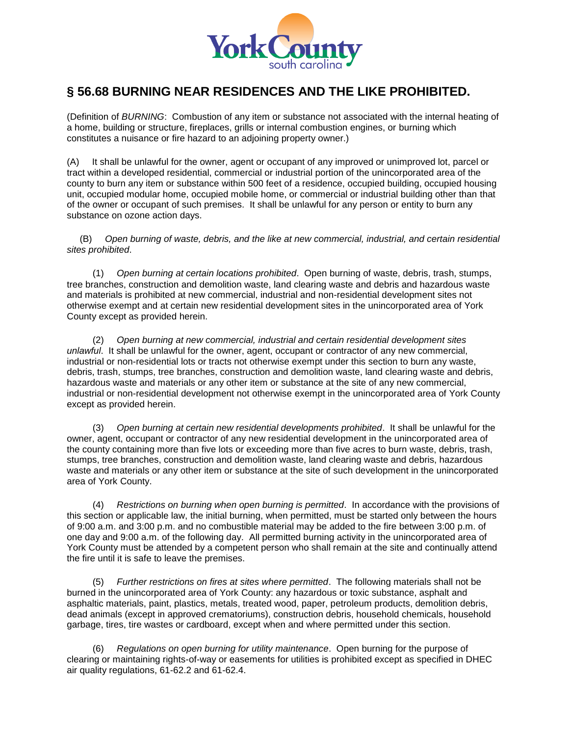

## **§ 56.68 BURNING NEAR RESIDENCES AND THE LIKE PROHIBITED.**

(Definition of *BURNING*:Combustion of any item or substance not associated with the internal heating of a home, building or structure, fireplaces, grills or internal combustion engines, or burning which constitutes a nuisance or fire hazard to an adjoining property owner.)

(A) It shall be unlawful for the owner, agent or occupant of any improved or unimproved lot, parcel or tract within a developed residential, commercial or industrial portion of the unincorporated area of the county to burn any item or substance within 500 feet of a residence, occupied building, occupied housing unit, occupied modular home, occupied mobile home, or commercial or industrial building other than that of the owner or occupant of such premises. It shall be unlawful for any person or entity to burn any substance on ozone action days.

(B) *Open burning of waste, debris, and the like at new commercial, industrial, and certain residential sites prohibited*.

 (1) *Open burning at certain locations prohibited*. Open burning of waste, debris, trash, stumps, tree branches, construction and demolition waste, land clearing waste and debris and hazardous waste and materials is prohibited at new commercial, industrial and non-residential development sites not otherwise exempt and at certain new residential development sites in the unincorporated area of York County except as provided herein.

 (2) *Open burning at new commercial, industrial and certain residential development sites unlawful*. It shall be unlawful for the owner, agent, occupant or contractor of any new commercial, industrial or non-residential lots or tracts not otherwise exempt under this section to burn any waste, debris, trash, stumps, tree branches, construction and demolition waste, land clearing waste and debris, hazardous waste and materials or any other item or substance at the site of any new commercial, industrial or non-residential development not otherwise exempt in the unincorporated area of York County except as provided herein.

 (3) *Open burning at certain new residential developments prohibited*. It shall be unlawful for the owner, agent, occupant or contractor of any new residential development in the unincorporated area of the county containing more than five lots or exceeding more than five acres to burn waste, debris, trash, stumps, tree branches, construction and demolition waste, land clearing waste and debris, hazardous waste and materials or any other item or substance at the site of such development in the unincorporated area of York County.

 (4) *Restrictions on burning when open burning is permitted*. In accordance with the provisions of this section or applicable law, the initial burning, when permitted, must be started only between the hours of 9:00 a.m. and 3:00 p.m. and no combustible material may be added to the fire between 3:00 p.m. of one day and 9:00 a.m. of the following day. All permitted burning activity in the unincorporated area of York County must be attended by a competent person who shall remain at the site and continually attend the fire until it is safe to leave the premises.

 (5) *Further restrictions on fires at sites where permitted*. The following materials shall not be burned in the unincorporated area of York County: any hazardous or toxic substance, asphalt and asphaltic materials, paint, plastics, metals, treated wood, paper, petroleum products, demolition debris, dead animals (except in approved crematoriums), construction debris, household chemicals, household garbage, tires, tire wastes or cardboard, except when and where permitted under this section.

 (6) *Regulations on open burning for utility maintenance*. Open burning for the purpose of clearing or maintaining rights-of-way or easements for utilities is prohibited except as specified in DHEC air quality regulations, 61-62.2 and 61-62.4.